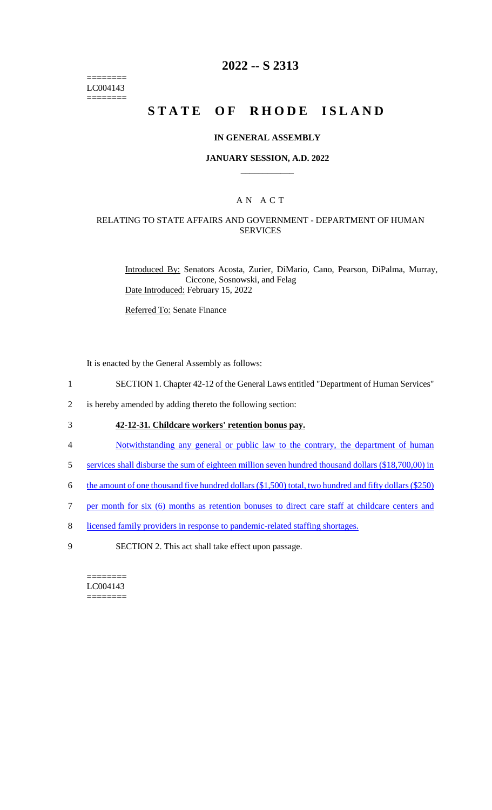======== LC004143  $=$ 

# **2022 -- S 2313**

# **STATE OF RHODE ISLAND**

#### **IN GENERAL ASSEMBLY**

#### **JANUARY SESSION, A.D. 2022 \_\_\_\_\_\_\_\_\_\_\_\_**

### A N A C T

### RELATING TO STATE AFFAIRS AND GOVERNMENT - DEPARTMENT OF HUMAN SERVICES

Introduced By: Senators Acosta, Zurier, DiMario, Cano, Pearson, DiPalma, Murray, Ciccone, Sosnowski, and Felag Date Introduced: February 15, 2022

Referred To: Senate Finance

It is enacted by the General Assembly as follows:

- 1 SECTION 1. Chapter 42-12 of the General Laws entitled "Department of Human Services"
- 2 is hereby amended by adding thereto the following section:

## 3 **42-12-31. Childcare workers' retention bonus pay.**

- 4 Notwithstanding any general or public law to the contrary, the department of human
- 5 services shall disburse the sum of eighteen million seven hundred thousand dollars (\$18,700,00) in
- 6 the amount of one thousand five hundred dollars (\$1,500) total, two hundred and fifty dollars (\$250)
- 7 per month for six (6) months as retention bonuses to direct care staff at childcare centers and
- 8 licensed family providers in response to pandemic-related staffing shortages.
- 9 SECTION 2. This act shall take effect upon passage.

======== LC004143 ========